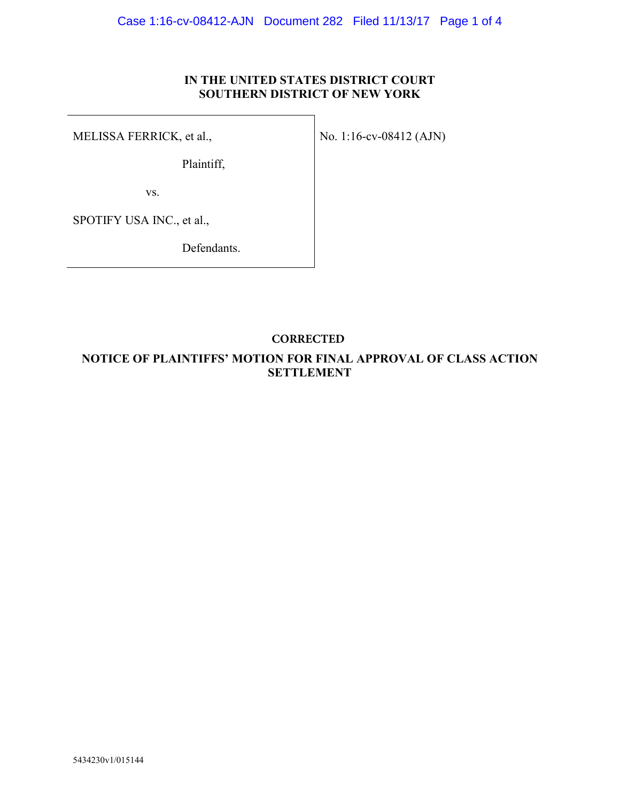## **IN THE UNITED STATES DISTRICT COURT SOUTHERN DISTRICT OF NEW YORK**

MELISSA FERRICK, et al.,

No. 1:16-cv-08412 (AJN)

Plaintiff,

vs.

SPOTIFY USA INC., et al.,

Defendants.

## **CORRECTED**

## **NOTICE OF PLAINTIFFS' MOTION FOR FINAL APPROVAL OF CLASS ACTION SETTLEMENT**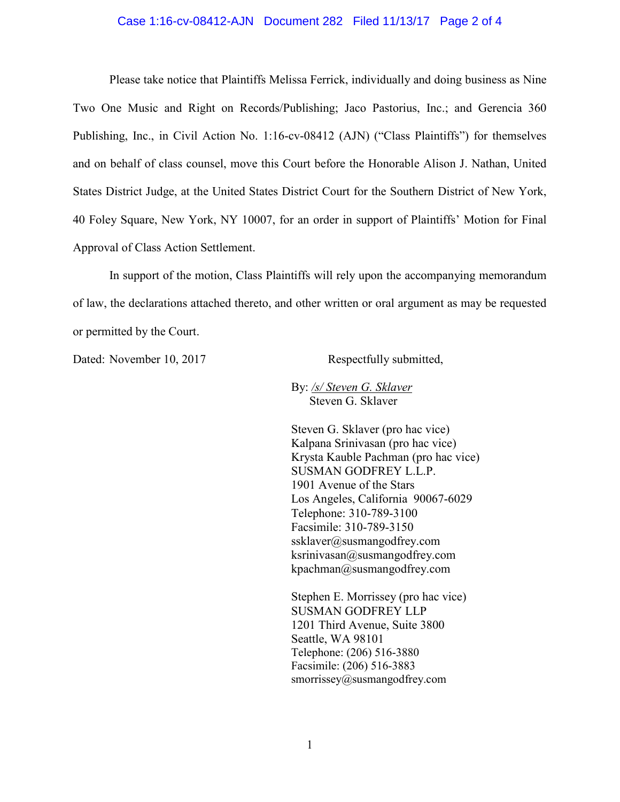#### Case 1:16-cv-08412-AJN Document 282 Filed 11/13/17 Page 2 of 4

Please take notice that Plaintiffs Melissa Ferrick, individually and doing business as Nine Two One Music and Right on Records/Publishing; Jaco Pastorius, Inc.; and Gerencia 360 Publishing, Inc., in Civil Action No. 1:16-cv-08412 (AJN) ("Class Plaintiffs") for themselves and on behalf of class counsel, move this Court before the Honorable Alison J. Nathan, United States District Judge, at the United States District Court for the Southern District of New York, 40 Foley Square, New York, NY 10007, for an order in support of Plaintiffs' Motion for Final Approval of Class Action Settlement.

In support of the motion, Class Plaintiffs will rely upon the accompanying memorandum of law, the declarations attached thereto, and other written or oral argument as may be requested or permitted by the Court.

Dated: November 10, 2017 Respectfully submitted,

By: */s/ Steven G. Sklaver* Steven G. Sklaver

Steven G. Sklaver (pro hac vice) Kalpana Srinivasan (pro hac vice) Krysta Kauble Pachman (pro hac vice) SUSMAN GODFREY L.L.P. 1901 Avenue of the Stars Los Angeles, California 90067-6029 Telephone: 310-789-3100 Facsimile: 310-789-3150 ssklaver@susmangodfrey.com  $ksrinivasan@susmangodfrey.com$ kpachman@susmangodfrey.com

Stephen E. Morrissey (pro hac vice) SUSMAN GODFREY LLP 1201 Third Avenue, Suite 3800 Seattle, WA 98101 Telephone: (206) 516-3880 Facsimile: (206) 516-3883 smorrissey@susmangodfrey.com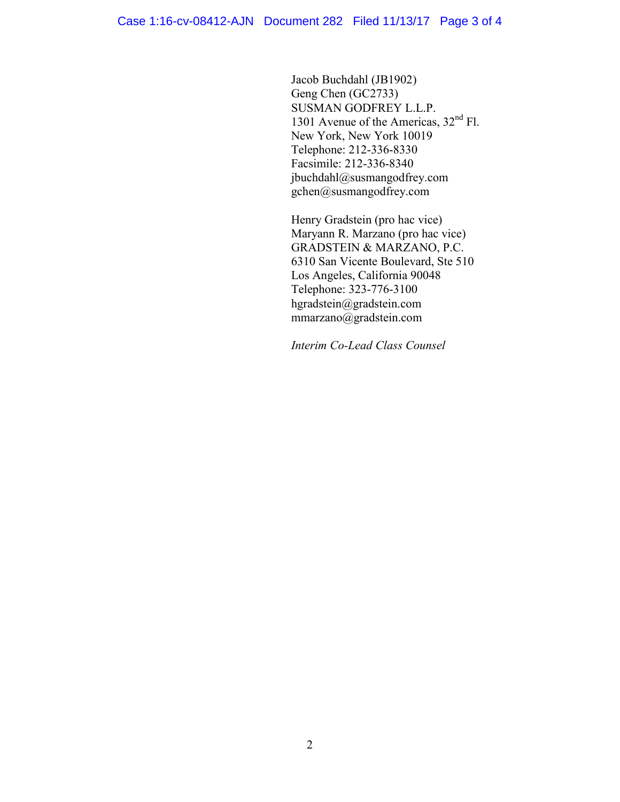Jacob Buchdahl (JB1902) Geng Chen (GC2733) SUSMAN GODFREY L.L.P. 1301 Avenue of the Americas, 32<sup>nd</sup> Fl. New York, New York 10019 Telephone: 212-336-8330 Facsimile: 212-336-8340 jbuchdahl@susmangodfrey.com gchen@susmangodfrey.com

Henry Gradstein (pro hac vice) Maryann R. Marzano (pro hac vice) GRADSTEIN & MARZANO, P.C. 6310 San Vicente Boulevard, Ste 510 Los Angeles, California 90048 Telephone: 323-776-3100 hgradstein@gradstein.com mmarzano@gradstein.com

*Interim Co-Lead Class Counsel*